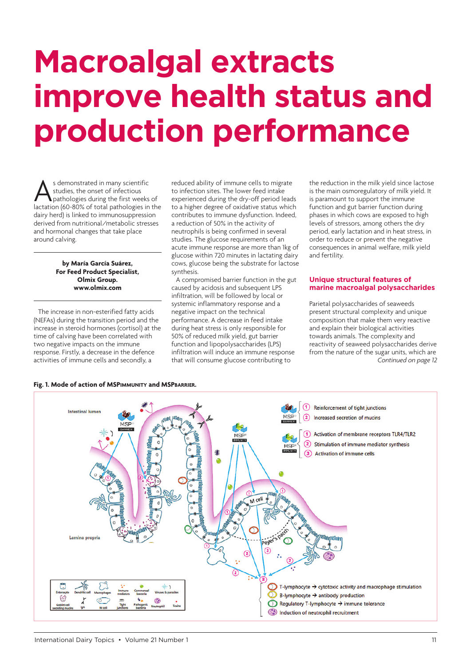# **Macroalgal extracts improve health status and production performance**

As demonstrated in many scientific<br>studies, the onset of infectious<br>lactation (60-80% of total pathologies in the studies, the onset of infectious pathologies during the first weeks of dairy herd) is linked to immunosuppression derived from nutritional/metabolic stresses and hormonal changes that take place around calving.

> **by María García Suárez, For Feed Product Specialist, Olmix Group. www.olmix.com**

The increase in non-esterified fatty acids (NEFAs) during the transition period and the increase in st[eroid hormones \(c](http://www.olmix.com)ortisol) at the time of calving have been correlated with two negative impacts on the immune response. Firstly, a decrease in the defence activities of immune cells and secondly, a

reduced ability of immune cells to migrate to infection sites. The lower feed intake experienced during the dry-off period leads to a higher degree of oxidative status which contributes to immune dysfunction. Indeed, a reduction of 50% in the activity of neutrophils is being confirmed in several studies. The glucose requirements of an acute immune response are more than 1kg of glucose within 720 minutes in lactating dairy cows, glucose being the substrate for lactose synthesis.

A compromised barrier function in the gut caused by acidosis and subsequent LPS infiltration, will be followed by local or systemic inflammatory response and a negative impact on the technical performance. A decrease in feed intake during heat stress is only responsible for 50% of reduced milk yield, gut barrier function and lipopolysaccharides (LPS) infiltration will induce an immune response that will consume glucose contributing to

the reduction in the milk yield since lactose is the main osmoregulatory of milk yield. It is paramount to support the immune function and gut barrier function during phases in which cows are exposed to high levels of stressors, among others the dry period, early lactation and in heat stress, in order to reduce or prevent the negative consequences in animal welfare, milk yield and fertility.

#### **Unique structural features of marine macroalgal polysaccharides**

Parietal polysaccharides of seaweeds present structural complexity and unique composition that make them very reactive and explain their biological activities towards animals. The complexity and reactivity of seaweed polysaccharides derive from the nature of the sugar units, which are *Continued on page 12*